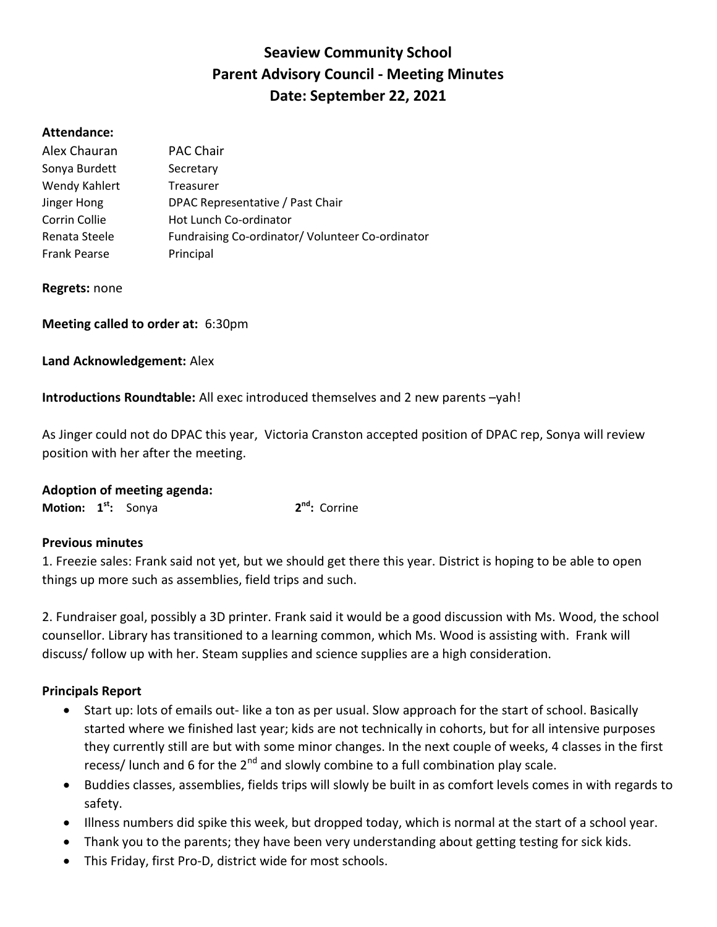# Seaview Community School Parent Advisory Council - Meeting Minutes Date: September 22, 2021

### Attendance:

| Alex Chauran        | <b>PAC Chair</b>                                |  |  |
|---------------------|-------------------------------------------------|--|--|
| Sonya Burdett       | Secretary                                       |  |  |
| Wendy Kahlert       | Treasurer                                       |  |  |
| Jinger Hong         | DPAC Representative / Past Chair                |  |  |
| Corrin Collie       | Hot Lunch Co-ordinator                          |  |  |
| Renata Steele       | Fundraising Co-ordinator/Volunteer Co-ordinator |  |  |
| <b>Frank Pearse</b> | Principal                                       |  |  |

Regrets: none

Meeting called to order at: 6:30pm

Land Acknowledgement: Alex

Introductions Roundtable: All exec introduced themselves and 2 new parents –yah!

As Jinger could not do DPAC this year, Victoria Cranston accepted position of DPAC rep, Sonya will review position with her after the meeting.

| <b>Adoption of meeting agenda:</b> |  |  |  |
|------------------------------------|--|--|--|
|------------------------------------|--|--|--|

**Motion:**  $1<sup>st</sup>$ : Sonya  $2^{nd}$ : Corrine

#### Previous minutes

1. Freezie sales: Frank said not yet, but we should get there this year. District is hoping to be able to open things up more such as assemblies, field trips and such.

2. Fundraiser goal, possibly a 3D printer. Frank said it would be a good discussion with Ms. Wood, the school counsellor. Library has transitioned to a learning common, which Ms. Wood is assisting with. Frank will discuss/ follow up with her. Steam supplies and science supplies are a high consideration.

### Principals Report

- Start up: lots of emails out- like a ton as per usual. Slow approach for the start of school. Basically started where we finished last year; kids are not technically in cohorts, but for all intensive purposes they currently still are but with some minor changes. In the next couple of weeks, 4 classes in the first recess/ lunch and 6 for the  $2^{nd}$  and slowly combine to a full combination play scale.
- Buddies classes, assemblies, fields trips will slowly be built in as comfort levels comes in with regards to safety.
- Illness numbers did spike this week, but dropped today, which is normal at the start of a school year.
- Thank you to the parents; they have been very understanding about getting testing for sick kids.
- This Friday, first Pro-D, district wide for most schools.